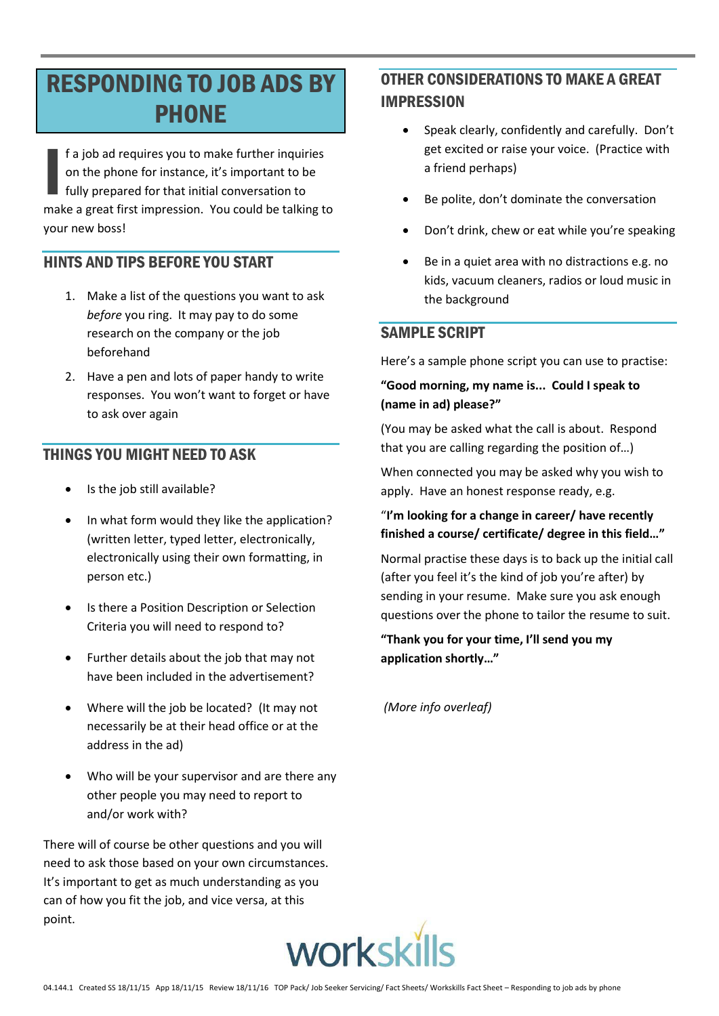# **RESPONDING TO JOB ADS BY PHONE**

f a job ad requires you to make further inquiries on the phone for instance, it's important to be fully prepared for that initial conversation to make a great first impression. You could be talking to vour new boss!

## HINTS AND TIPS REFORE YOU START

- 1. Make a list of the questions you want to ask before you ring. It may pay to do some research on the company or the job beforehand
- 2. Have a pen and lots of paper handy to write responses. You won't want to forget or have to ask over again

## **THINGS YOU MIGHT NEED TO ASK**

- Is the job still available?
- In what form would they like the application? (written letter, typed letter, electronically, electronically using their own formatting, in person etc.)
- Is there a Position Description or Selection Criteria you will need to respond to?
- Further details about the job that may not have been included in the advertisement?
- Where will the job be located? (It may not necessarily be at their head office or at the address in the ad)
- Who will be your supervisor and are there any other people you may need to report to and/or work with?

There will of course be other questions and you will need to ask those based on your own circumstances. It's important to get as much understanding as you can of how you fit the job, and vice versa, at this point.

## **OTHER CONSIDERATIONS TO MAKE A GREAT IMPRESSION**

- Speak clearly, confidently and carefully. Don't  $\bullet$ get excited or raise your voice. (Practice with a friend perhaps)
- Be polite, don't dominate the conversation
- Don't drink, chew or eat while you're speaking
- Be in a quiet area with no distractions e.g. no kids, vacuum cleaners, radios or loud music in the background

## **SAMPLE SCRIPT**

Here's a sample phone script you can use to practise:

#### "Good morning, my name is... Could I speak to (name in ad) please?"

(You may be asked what the call is about. Respond that you are calling regarding the position of...)

When connected you may be asked why you wish to apply. Have an honest response ready, e.g.

#### "I'm looking for a change in career/ have recently finished a course/ certificate/ degree in this field..."

Normal practise these days is to back up the initial call (after you feel it's the kind of job you're after) by sending in your resume. Make sure you ask enough questions over the phone to tailor the resume to suit.

"Thank you for your time, I'll send you my application shortly..."

(More info overleaf)